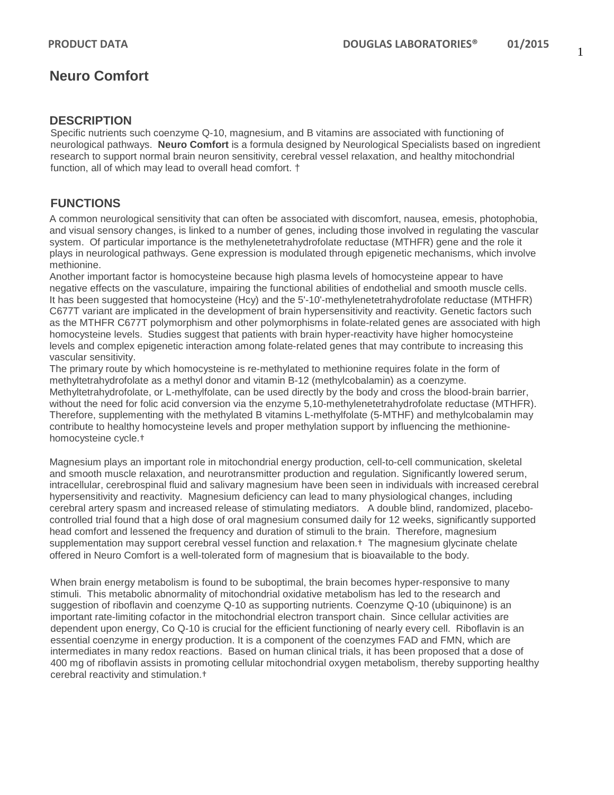# **Neuro Comfort**

## **DESCRIPTION**

Specific nutrients such coenzyme Q-10, magnesium, and B vitamins are associated with functioning of neurological pathways. **Neuro Comfort** is a formula designed by Neurological Specialists based on ingredient research to support normal brain neuron sensitivity, cerebral vessel relaxation, and healthy mitochondrial function, all of which may lead to overall head comfort. †

## **FUNCTIONS**

A common neurological sensitivity that can often be associated with discomfort, nausea, emesis, photophobia, and visual sensory changes, is linked to a number of genes, including those involved in regulating the vascular system. Of particular importance is the methylenetetrahydrofolate reductase (MTHFR) gene and the role it plays in neurological pathways. Gene expression is modulated through epigenetic mechanisms, which involve methionine.

Another important factor is homocysteine because high plasma levels of homocysteine appear to have negative effects on the vasculature, impairing the functional abilities of endothelial and smooth muscle cells. It has been suggested that homocysteine (Hcy) and the 5'-10'-methylenetetrahydrofolate reductase (MTHFR) C677T variant are implicated in the development of brain hypersensitivity and reactivity. Genetic factors such as the MTHFR C677T polymorphism and other polymorphisms in folate-related genes are associated with high homocysteine levels. Studies suggest that patients with brain hyper-reactivity have higher homocysteine levels and complex epigenetic interaction among folate-related genes that may contribute to increasing this vascular sensitivity.

The primary route by which homocysteine is re-methylated to methionine requires folate in the form of methyltetrahydrofolate as a methyl donor and vitamin B-12 (methylcobalamin) as a coenzyme. Methyltetrahydrofolate, or L-methylfolate, can be used directly by the body and cross the blood-brain barrier, without the need for folic acid conversion via the enzyme 5,10-methylenetetrahydrofolate reductase (MTHFR). Therefore, supplementing with the methylated B vitamins L-methylfolate (5-MTHF) and methylcobalamin may contribute to healthy homocysteine levels and proper methylation support by influencing the methioninehomocysteine cycle.†

Magnesium plays an important role in mitochondrial energy production, cell-to-cell communication, skeletal and smooth muscle relaxation, and neurotransmitter production and regulation. Significantly lowered serum, intracellular, cerebrospinal fluid and salivary magnesium have been seen in individuals with increased cerebral hypersensitivity and reactivity. Magnesium deficiency can lead to many physiological changes, including cerebral artery spasm and increased release of stimulating mediators. A double blind, randomized, placebocontrolled trial found that a high dose of oral magnesium consumed daily for 12 weeks, significantly supported head comfort and lessened the frequency and duration of stimuli to the brain. Therefore, magnesium supplementation may support cerebral vessel function and relaxation.† The magnesium glycinate chelate offered in Neuro Comfort is a well-tolerated form of magnesium that is bioavailable to the body.

When brain energy metabolism is found to be suboptimal, the brain becomes hyper-responsive to many stimuli. This metabolic abnormality of mitochondrial oxidative metabolism has led to the research and suggestion of riboflavin and coenzyme Q-10 as supporting nutrients. Coenzyme Q-10 (ubiquinone) is an important rate-limiting cofactor in the mitochondrial electron transport chain. Since cellular activities are dependent upon energy, Co Q-10 is crucial for the efficient functioning of nearly every cell. Riboflavin is an essential coenzyme in energy production. It is a component of the coenzymes FAD and FMN, which are intermediates in many redox reactions. Based on human clinical trials, it has been proposed that a dose of 400 mg of riboflavin assists in promoting cellular mitochondrial oxygen metabolism, thereby supporting healthy cerebral reactivity and stimulation.†